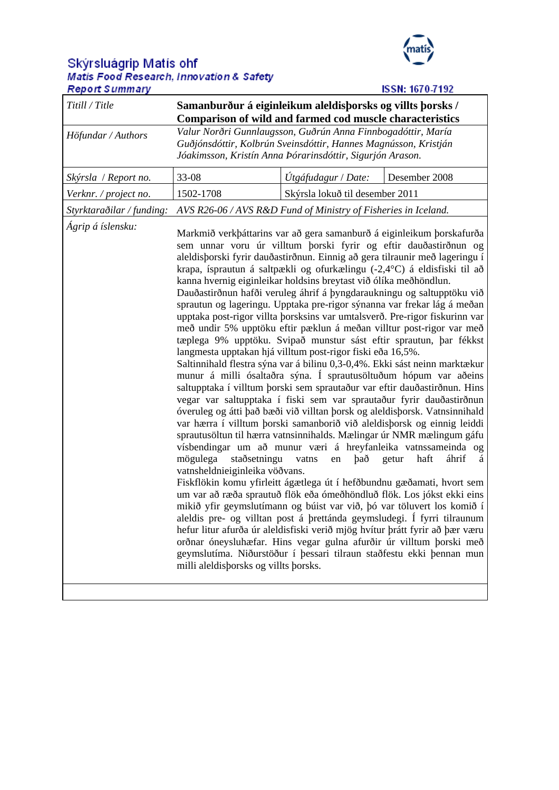## Skýrsluágrip Matís ohf<br>Matis Food Research, Innovation & Safety<br>Report Summary



| <b>Report Summary</b>     | <b>ISSN: 1670-7192</b>                                                                                                                                                                                                                                                                                                                                                                                                                                                                                                                                                                                                                                                                                                                                                                                                                                                                                                                                                                                                                                                                                                                                                                                                                                                                                                                                                                                                                                                                                                                                                                                                                                                                                                                                                                                                                                                                                                                                                                                                                                                                                                                  |                                 |               |
|---------------------------|-----------------------------------------------------------------------------------------------------------------------------------------------------------------------------------------------------------------------------------------------------------------------------------------------------------------------------------------------------------------------------------------------------------------------------------------------------------------------------------------------------------------------------------------------------------------------------------------------------------------------------------------------------------------------------------------------------------------------------------------------------------------------------------------------------------------------------------------------------------------------------------------------------------------------------------------------------------------------------------------------------------------------------------------------------------------------------------------------------------------------------------------------------------------------------------------------------------------------------------------------------------------------------------------------------------------------------------------------------------------------------------------------------------------------------------------------------------------------------------------------------------------------------------------------------------------------------------------------------------------------------------------------------------------------------------------------------------------------------------------------------------------------------------------------------------------------------------------------------------------------------------------------------------------------------------------------------------------------------------------------------------------------------------------------------------------------------------------------------------------------------------------|---------------------------------|---------------|
| Titill / Title            | Samanburður á eiginleikum aleldisþorsks og villts þorsks /<br>Comparison of wild and farmed cod muscle characteristics                                                                                                                                                                                                                                                                                                                                                                                                                                                                                                                                                                                                                                                                                                                                                                                                                                                                                                                                                                                                                                                                                                                                                                                                                                                                                                                                                                                                                                                                                                                                                                                                                                                                                                                                                                                                                                                                                                                                                                                                                  |                                 |               |
| Höfundar / Authors        | Valur Norðri Gunnlaugsson, Guðrún Anna Finnbogadóttir, María<br>Guðjónsdóttir, Kolbrún Sveinsdóttir, Hannes Magnússon, Kristján<br>Jóakimsson, Kristín Anna Þórarinsdóttir, Sigurjón Arason.                                                                                                                                                                                                                                                                                                                                                                                                                                                                                                                                                                                                                                                                                                                                                                                                                                                                                                                                                                                                                                                                                                                                                                                                                                                                                                                                                                                                                                                                                                                                                                                                                                                                                                                                                                                                                                                                                                                                            |                                 |               |
| Skýrsla / Report no.      | 33-08                                                                                                                                                                                                                                                                                                                                                                                                                                                                                                                                                                                                                                                                                                                                                                                                                                                                                                                                                                                                                                                                                                                                                                                                                                                                                                                                                                                                                                                                                                                                                                                                                                                                                                                                                                                                                                                                                                                                                                                                                                                                                                                                   | Útgáfudagur / Date:             | Desember 2008 |
| Verknr. / project no.     | 1502-1708                                                                                                                                                                                                                                                                                                                                                                                                                                                                                                                                                                                                                                                                                                                                                                                                                                                                                                                                                                                                                                                                                                                                                                                                                                                                                                                                                                                                                                                                                                                                                                                                                                                                                                                                                                                                                                                                                                                                                                                                                                                                                                                               | Skýrsla lokuð til desember 2011 |               |
| Styrktaraðilar / funding: | AVS R26-06 / AVS R&D Fund of Ministry of Fisheries in Iceland.                                                                                                                                                                                                                                                                                                                                                                                                                                                                                                                                                                                                                                                                                                                                                                                                                                                                                                                                                                                                                                                                                                                                                                                                                                                                                                                                                                                                                                                                                                                                                                                                                                                                                                                                                                                                                                                                                                                                                                                                                                                                          |                                 |               |
| Ágrip á íslensku:         | Markmið verkþáttarins var að gera samanburð á eiginleikum þorskafurða<br>sem unnar voru úr villtum þorski fyrir og eftir dauðastirðnun og<br>aleldisborski fyrir dauðastirðnun. Einnig að gera tilraunir með lageringu í<br>krapa, ísprautun á saltpækli og ofurkælingu (-2,4°C) á eldisfiski til að<br>kanna hvernig eiginleikar holdsins breytast við ólíka meðhöndlun.<br>Dauðastirðnun hafði veruleg áhrif á þyngdaraukningu og saltupptöku við<br>sprautun og lageringu. Upptaka pre-rigor sýnanna var frekar lág á meðan<br>upptaka post-rigor villta þorsksins var umtalsverð. Pre-rigor fiskurinn var<br>með undir 5% upptöku eftir pæklun á meðan villtur post-rigor var með<br>tæplega 9% upptöku. Svipað munstur sást eftir sprautun, þar fékkst<br>langmesta upptakan hjá villtum post-rigor fiski eða 16,5%.<br>Saltinnihald flestra sýna var á bilinu 0,3-0,4%. Ekki sást neinn marktækur<br>munur á milli ósaltaðra sýna. Í sprautusöltuðum hópum var aðeins<br>saltupptaka í villtum þorski sem sprautaður var eftir dauðastirðnun. Hins<br>vegar var saltupptaka í fiski sem var sprautaður fyrir dauðastirðnun<br>óveruleg og átti það bæði við villtan þorsk og aleldisþorsk. Vatnsinnihald<br>var hærra í villtum þorski samanborið við aleldisþorsk og einnig leiddi<br>sprautusöltun til hærra vatnsinnihalds. Mælingar úr NMR mælingum gáfu<br>vísbendingar um að munur væri á hreyfanleika vatnssameinda og<br>áhrif<br>mögulega<br>staðsetningu<br>vatns<br>það<br>haft<br>en<br>getur<br>á<br>vatnsheldnieiginleika vöðvans.<br>Fiskflökin komu yfirleitt ágætlega út í hefðbundnu gæðamati, hvort sem<br>um var að ræða sprautuð flök eða ómeðhöndluð flök. Los jókst ekki eins<br>mikið yfir geymslutímann og búist var við, þó var töluvert los komið í<br>aleldis pre- og villtan post á þrettánda geymsludegi. Í fyrri tilraunum<br>hefur litur afurða úr aleldisfiski verið mjög hvítur þrátt fyrir að þær væru<br>orðnar óneysluhæfar. Hins vegar gulna afurðir úr villtum þorski með<br>geymslutíma. Niðurstöður í þessari tilraun staðfestu ekki þennan mun<br>milli aleldisporsks og villts porsks. |                                 |               |